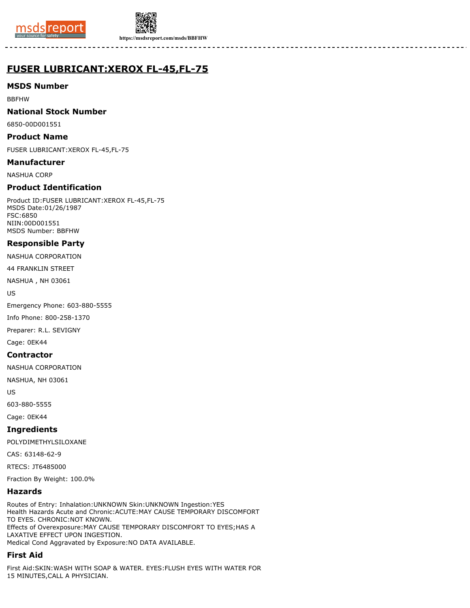



**https://msdsreport.com/msds/BBFHW**

# **FUSER LUBRICANT:XEROX FL-45,FL-75**

## **MSDS Number**

BBFHW

#### **National Stock Number**

6850-00D001551

#### **Product Name**

FUSER LUBRICANT:XEROX FL-45,FL-75

#### **Manufacturer**

NASHUA CORP

# **Product Identification**

Product ID:FUSER LUBRICANT:XEROX FL-45,FL-75 MSDS Date:01/26/1987 FSC:6850 NIIN:00D001551 MSDS Number: BBFHW

## **Responsible Party**

NASHUA CORPORATION

44 FRANKLIN STREET

NASHUA , NH 03061

US

Emergency Phone: 603-880-5555

Info Phone: 800-258-1370

Preparer: R.L. SEVIGNY

Cage: 0EK44

## **Contractor**

NASHUA CORPORATION

NASHUA, NH 03061

US

603-880-5555

Cage: 0EK44

## **Ingredients**

POLYDIMETHYLSILOXANE

CAS: 63148-62-9

RTECS: JT6485000

Fraction By Weight: 100.0%

## **Hazards**

Routes of Entry: Inhalation:UNKNOWN Skin:UNKNOWN Ingestion:YES Health Hazards Acute and Chronic:ACUTE:MAY CAUSE TEMPORARY DISCOMFORT TO EYES. CHRONIC:NOT KNOWN. Effects of Overexposure:MAY CAUSE TEMPORARY DISCOMFORT TO EYES;HAS A LAXATIVE EFFECT UPON INGESTION. Medical Cond Aggravated by Exposure:NO DATA AVAILABLE.

## **First Aid**

First Aid:SKIN:WASH WITH SOAP & WATER. EYES:FLUSH EYES WITH WATER FOR 15 MINUTES,CALL A PHYSICIAN.